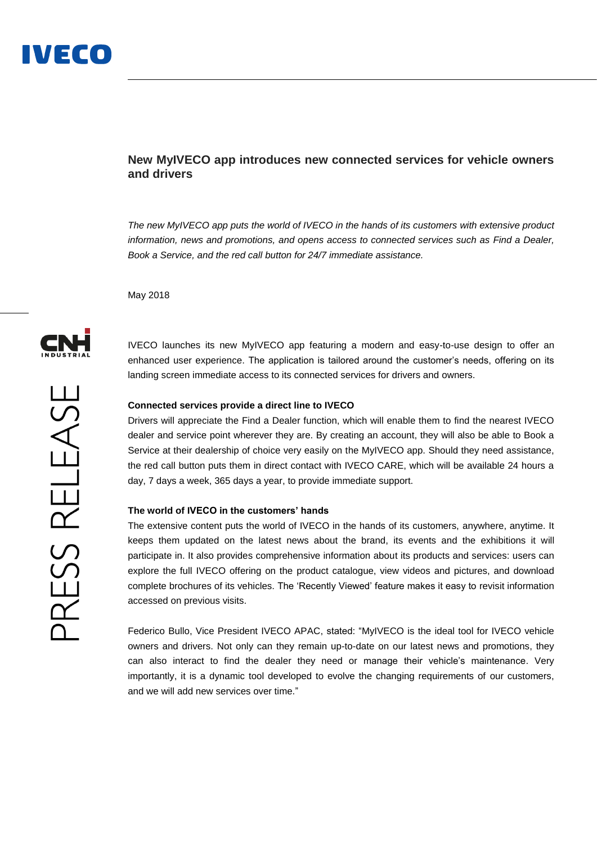## **New MyIVECO app introduces new connected services for vehicle owners and drivers**

*The new MyIVECO app puts the world of IVECO in the hands of its customers with extensive product information, news and promotions, and opens access to connected services such as Find a Dealer, Book a Service, and the red call button for 24/7 immediate assistance.*

May 2018



PRESS RELEASE

IVECO launches its new MyIVECO app featuring a modern and easy-to-use design to offer an enhanced user experience. The application is tailored around the customer's needs, offering on its landing screen immediate access to its connected services for drivers and owners.

### **Connected services provide a direct line to IVECO**

Drivers will appreciate the Find a Dealer function, which will enable them to find the nearest IVECO dealer and service point wherever they are. By creating an account, they will also be able to Book a Service at their dealership of choice very easily on the MyIVECO app. Should they need assistance, the red call button puts them in direct contact with IVECO CARE, which will be available 24 hours a day, 7 days a week, 365 days a year, to provide immediate support.

## **The world of IVECO in the customers' hands**

The extensive content puts the world of IVECO in the hands of its customers, anywhere, anytime. It keeps them updated on the latest news about the brand, its events and the exhibitions it will participate in. It also provides comprehensive information about its products and services: users can explore the full IVECO offering on the product catalogue, view videos and pictures, and download complete brochures of its vehicles. The 'Recently Viewed' feature makes it easy to revisit information accessed on previous visits.

Federico Bullo, Vice President IVECO APAC, stated: "MyIVECO is the ideal tool for IVECO vehicle owners and drivers. Not only can they remain up-to-date on our latest news and promotions, they can also interact to find the dealer they need or manage their vehicle's maintenance. Very importantly, it is a dynamic tool developed to evolve the changing requirements of our customers, and we will add new services over time."